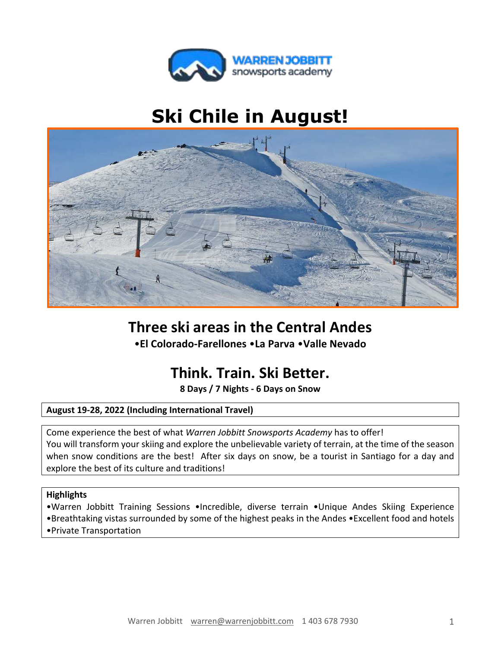

# **Ski Chile in August!**



# **Three ski areas in the Central Andes**

•**El Colorado-Farellones** •**La Parva** •**Valle Nevado**

# **Think. Train. Ski Better.**

**8 Days / 7 Nights - 6 Days on Snow**

# **August 19-28, 2022 (Including International Travel)**

Come experience the best of what *Warren Jobbitt Snowsports Academy* has to offer! You will transform your skiing and explore the unbelievable variety of terrain, at the time of the season when snow conditions are the best! After six days on snow, be a tourist in Santiago for a day and explore the best of its culture and traditions!

# **Highlights**

•Warren Jobbitt Training Sessions •Incredible, diverse terrain •Unique Andes Skiing Experience •Breathtaking vistas surrounded by some of the highest peaks in the Andes •Excellent food and hotels •Private Transportation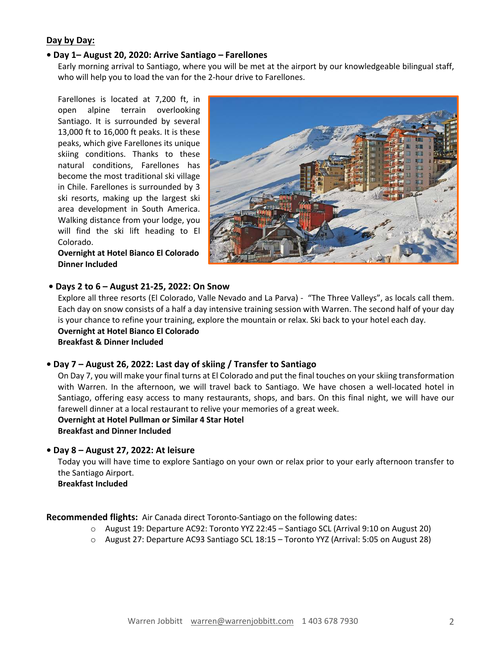# **Day by Day:**

#### **• Day 1– August 20, 2020: Arrive Santiago – Farellones**

Early morning arrival to Santiago, where you will be met at the airport by our knowledgeable bilingual staff, who will help you to load the van for the 2-hour drive to Farellones.

Farellones is located at 7,200 ft, in open alpine terrain overlooking Santiago. It is surrounded by several 13,000 ft to 16,000 ft peaks. It is these peaks, which give Farellones its unique skiing conditions. Thanks to these natural conditions, Farellones has become the most traditional ski village in Chile. Farellones is surrounded by 3 ski resorts, making up the largest ski area development in South America. Walking distance from your lodge, you will find the ski lift heading to El Colorado.

**Overnight at Hotel Bianco El Colorado Dinner Included**



#### **• Days 2 to 6 – August 21-25, 2022: On Snow**

Explore all three resorts (El Colorado, Valle Nevado and La Parva) - "The Three Valleys", as locals call them. Each day on snow consists of a half a day intensive training session with Warren. The second half of your day is your chance to refine your training, explore the mountain or relax. Ski back to your hotel each day. **Overnight at Hotel Bianco El Colorado Breakfast & Dinner Included**

#### **• Day 7 – August 26, 2022: Last day of skiing / Transfer to Santiago**

On Day 7, you will make your final turns at El Colorado and put the final touches on your skiing transformation with Warren. In the afternoon, we will travel back to Santiago. We have chosen a well-located hotel in Santiago, offering easy access to many restaurants, shops, and bars. On this final night, we will have our farewell dinner at a local restaurant to relive your memories of a great week.

**Overnight at Hotel Pullman or Similar 4 Star Hotel Breakfast and Dinner Included**

#### **• Day 8 – August 27, 2022: At leisure**

Today you will have time to explore Santiago on your own or relax prior to your early afternoon transfer to the Santiago Airport.

**Breakfast Included**

**Recommended flights:** Air Canada direct Toronto-Santiago on the following dates:

- o August 19: Departure AC92: Toronto YYZ 22:45 Santiago SCL (Arrival 9:10 on August 20)
- o August 27: Departure AC93 Santiago SCL 18:15 Toronto YYZ (Arrival: 5:05 on August 28)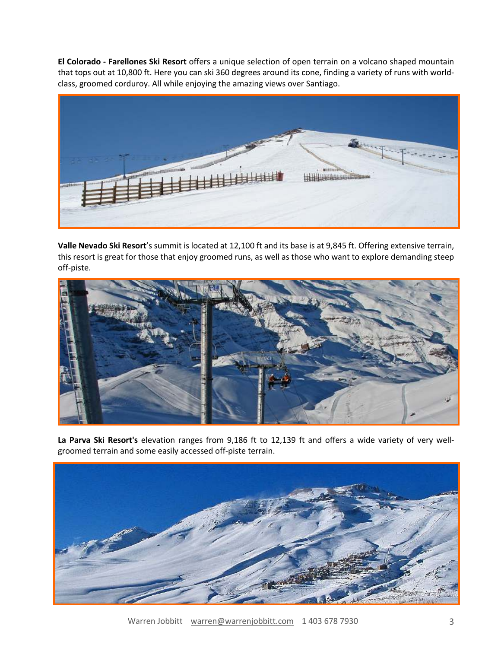**El Colorado - Farellones Ski Resort** offers a unique selection of open terrain on a volcano shaped mountain that tops out at 10,800 ft. Here you can ski 360 degrees around its cone, finding a variety of runs with worldclass, groomed corduroy. All while enjoying the amazing views over Santiago.



**Valle Nevado Ski Resort**'s summit is located at 12,100 ft and its base is at 9,845 ft. Offering extensive terrain, this resort is great for those that enjoy groomed runs, as well as those who want to explore demanding steep off-piste.



**La Parva Ski Resort's** elevation ranges from 9,186 ft to 12,139 ft and offers a wide variety of very wellgroomed terrain and some easily accessed off-piste terrain.